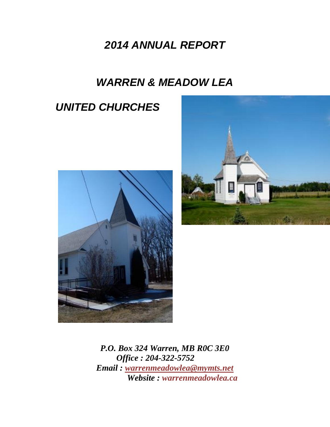# *2014 ANNUAL REPORT*

# *WARREN & MEADOW LEA*

# *UNITED CHURCHES*





*P.O. Box 324 Warren, MB R0C 3E0 Office : 204-322-5752 Email : [warrenmeadowlea@mymts.net](mailto:warrenmeadowlea@mymts.net) Website : warrenmeadowlea.ca*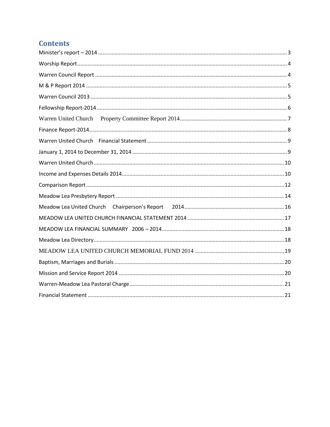## **Contents**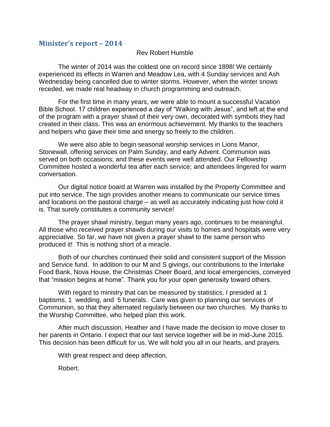#### <span id="page-2-0"></span>**Minister's report – 2014**

#### Rev Robert Humble

The winter of 2014 was the coldest one on record since 1898! We certainly experienced its effects in Warren and Meadow Lea, with 4 Sunday services and Ash Wednesday being cancelled due to winter storms. However, when the winter snows receded, we made real headway in church programming and outreach.

For the first time in many years, we were able to mount a successful Vacation Bible School. 17 children experienced a day of "Walking with Jesus", and left at the end of the program with a prayer shawl of their very own, decorated with symbols they had created in their class. This was an enormous achievement. My thanks to the teachers and helpers who gave their time and energy so freely to the children.

We were also able to begin seasonal worship services in Lions Manor, Stonewall, offering services on Palm Sunday, and early Advent. Communion was served on both occasions; and these events were well attended. Our Fellowship Committee hosted a wonderful tea after each service; and attendees lingered for warm conversation.

Our digital notice board at Warren was installed by the Property Committee and put into service. The sign provides another means to communicate our service times and locations on the pastoral charge – as well as accurately indicating just how cold it is. That surely constitutes a community service!

The prayer shawl ministry, begun many years ago, continues to be meaningful. All those who received prayer shawls during our visits to homes and hospitals were very appreciative. So far, we have not given a prayer shawl to the same person who produced it! This is nothing short of a miracle.

Both of our churches continued their solid and consistent support of the Mission and Service fund. In addition to our M and S givings, our contributions to the Interlake Food Bank, Nova House, the Christmas Cheer Board, and local emergencies, conveyed that "mission begins at home". Thank you for your open generosity toward others.

With regard to ministry that can be measured by statistics, I presided at 1 baptisms, 1 wedding, and 5 funerals. Care was given to planning our services of Communion, so that they alternated regularly between our two churches. My thanks to the Worship Committee, who helped plan this work.

After much discussion, Heather and I have made the decision to move closer to her parents in Ontario. I expect that our last service together will be in mid-June 2015. This decision has been difficult for us. We will hold you all in our hearts, and prayers.

With great respect and deep affection,

Robert.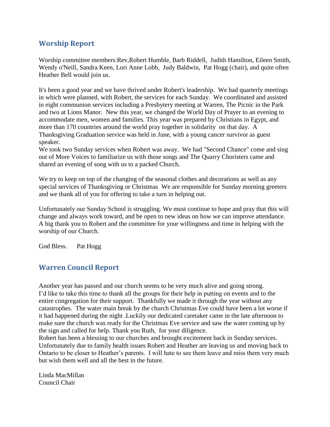## <span id="page-3-0"></span>**Worship Report**

Worship committee members:Rev,Robert Humble, Barb Riddell, Judith Hamilton, Eileen Smith, Wendy o'Neill, Sandra Keen, Lori Anne Lobb, Judy Baldwin, Pat Hogg (chair), and quite often Heather Bell would join us.

It's been a good year and we have thrived under Robert's leadership. We had quarterly meetings in which were planned, with Robert, the services for each Sunday. We coordinated and assisted in eight communion services including a Presbytery meeting at Warren, The Picnic in the Park and two at Lions Manor. New this year, we changed the World Day of Prayer to an evening to accommodate men, women and families. This year was prepared by Christians in Egypt, and more than 170 countries around the world pray together in solidarity on that day. A Thanksgiving Graduation service was held in June, with a young cancer survivor as guest speaker.

We took two Sunday services when Robert was away. We had "Second Chance" come and sing out of More Voices to familiarize us with those songs and The Quarry Choristers came and shared an evening of song with us to a packed Church.

We try to keep on top of the changing of the seasonal clothes and decorations as well as any special services of Thanksgiving or Christmas We are responsible for Sunday morning greeters and we thank all of you for offering to take a turn in helping out.

Unfortunately our Sunday School is struggling. We must continue to hope and pray that this will change and always work toward, and be open to new ideas on how we can improve attendance. A big thank you to Robert and the committee for your willingness and time in helping with the worship of our Church.

<span id="page-3-1"></span>God Bless. Pat Hogg

## **Warren Council Report**

Another year has passed and our church seems to be very much alive and going strong. I'd like to take this time to thank all the groups for their help in putting on events and to the entire congregation for their support. Thankfully we made it through the year without any catastrophes. The water main break by the church Christmas Eve could have been a lot worse if it had happened during the night .Luckily our dedicated caretaker came in the late afternoon to make sure the church was ready for the Christmas Eve service and saw the water coming up by the sign and called for help. Thank you Ruth, for your diligence.

Robert has been a blessing to our churches and brought excitement back in Sunday services. Unfortunately due to family health issues Robert and Heather are leaving us and moving back to Ontario to be closer to Heather's parents. I will hate to see them leave and miss them very much but wish them well and all the best in the future.

Linda MacMillan Council Chair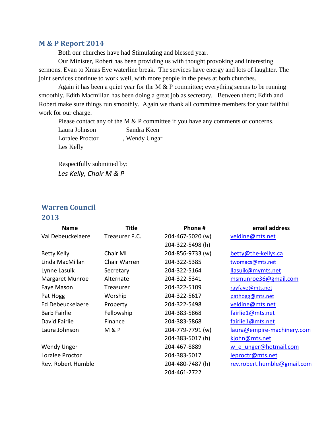### <span id="page-4-0"></span>**M & P Report 2014**

Both our churches have had Stimulating and blessed year.

Our Minister, Robert has been providing us with thought provoking and interesting sermons. Evan to Xmas Eve waterline break. The services have energy and lots of laughter. The joint services continue to work well, with more people in the pews at both churches.

Again it has been a quiet year for the M  $&$  P committee; everything seems to be running smoothly. Edith Macmillan has been doing a great job as secretary. Between them; Edith and Robert make sure things run smoothly. Again we thank all committee members for your faithful work for our charge.

Please contact any of the M & P committee if you have any comments or concerns.

Laura Johnson Sandra Keen Loralee Proctor , Wendy Ungar Les Kelly

Respectfully submitted by: *Les Kelly, Chair M & P*

## <span id="page-4-1"></span>**Warren Council**

#### **2013**

| <b>Name</b>         | <b>Title</b>     | Phone #          | email address               |
|---------------------|------------------|------------------|-----------------------------|
| Val Debeuckelaere   | Treasurer P.C.   | 204-467-5020 (w) | veldine@mts.net             |
|                     |                  | 204-322-5498 (h) |                             |
| <b>Betty Kelly</b>  | Chair ML         | 204-856-9733 (w) | betty@the-kellys.ca         |
| Linda MacMillan     | Chair Warren     | 204-322-5385     | twomacs@mts.net             |
| Lynne Lasuik        | Secretary        | 204-322-5164     | llasuik@mymts.net           |
| Margaret Munroe     | Alternate        | 204-322-5341     | msmunroe36@gmail.com        |
| Faye Mason          | Treasurer        | 204-322-5109     | rayfaye@mts.net             |
| Pat Hogg            | Worship          | 204-322-5617     | pathogg@mts.net             |
| Ed Debeuckelaere    | Property         | 204-322-5498     | veldine@mts.net             |
| <b>Barb Fairlie</b> | Fellowship       | 204-383-5868     | fairlie1@mts.net            |
| David Fairlie       | Finance          | 204-383-5868     | fairlie1@mts.net            |
| Laura Johnson       | <b>M &amp; P</b> | 204-779-7791 (w) | laura@empire-machinery.com  |
|                     |                  | 204-383-5017 (h) | kjohn@mts.net               |
| <b>Wendy Unger</b>  |                  | 204-467-8889     | w e unger@hotmail.com       |
| Loralee Proctor     |                  | 204-383-5017     | leproctr@mts.net            |
| Rev. Robert Humble  |                  | 204-480-7487 (h) | rev.robert.humble@gmail.com |
|                     |                  | 204-461-2722     |                             |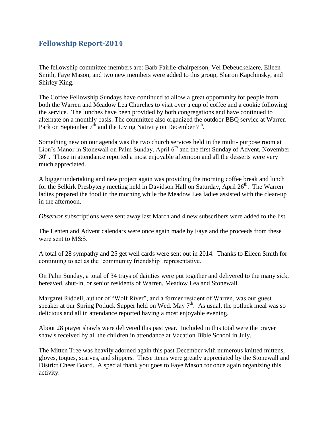## <span id="page-5-0"></span>**Fellowship Report-2014**

The fellowship committee members are: Barb Fairlie-chairperson, Vel Debeuckelaere, Eileen Smith, Faye Mason, and two new members were added to this group, Sharon Kapchinsky, and Shirley King.

The Coffee Fellowship Sundays have continued to allow a great opportunity for people from both the Warren and Meadow Lea Churches to visit over a cup of coffee and a cookie following the service. The lunches have been provided by both congregations and have continued to alternate on a monthly basis. The committee also organized the outdoor BBQ service at Warren Park on September  $7<sup>th</sup>$  and the Living Nativity on December  $7<sup>th</sup>$ .

Something new on our agenda was the two church services held in the multi- purpose room at Lion's Manor in Stonewall on Palm Sunday, April 6<sup>th</sup> and the first Sunday of Advent, November 30<sup>th</sup>. Those in attendance reported a most enjoyable afternoon and all the desserts were very much appreciated.

A bigger undertaking and new project again was providing the morning coffee break and lunch for the Selkirk Presbytery meeting held in Davidson Hall on Saturday, April  $26<sup>th</sup>$ . The Warren ladies prepared the food in the morning while the Meadow Lea ladies assisted with the clean-up in the afternoon.

*Observor* subscriptions were sent away last March and 4 new subscribers were added to the list.

The Lenten and Advent calendars were once again made by Faye and the proceeds from these were sent to M&S.

A total of 28 sympathy and 25 get well cards were sent out in 2014. Thanks to Eileen Smith for continuing to act as the 'community friendship' representative.

On Palm Sunday, a total of 34 trays of dainties were put together and delivered to the many sick, bereaved, shut-in, or senior residents of Warren, Meadow Lea and Stonewall.

Margaret Riddell, author of "Wolf River", and a former resident of Warren, was our guest speaker at our Spring Potluck Supper held on Wed. May  $7<sup>th</sup>$ . As usual, the potluck meal was so delicious and all in attendance reported having a most enjoyable evening.

About 28 prayer shawls were delivered this past year. Included in this total were the prayer shawls received by all the children in attendance at Vacation Bible School in July.

The Mitten Tree was heavily adorned again this past December with numerous knitted mittens, gloves, toques, scarves, and slippers. These items were greatly appreciated by the Stonewall and District Cheer Board. A special thank you goes to Faye Mason for once again organizing this activity.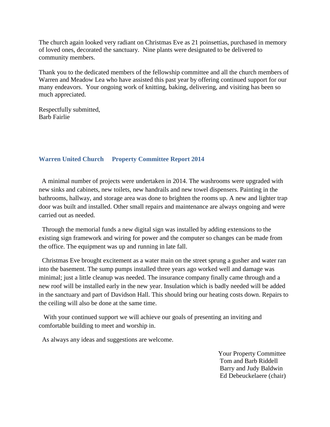The church again looked very radiant on Christmas Eve as 21 poinsettias, purchased in memory of loved ones, decorated the sanctuary. Nine plants were designated to be delivered to community members.

Thank you to the dedicated members of the fellowship committee and all the church members of Warren and Meadow Lea who have assisted this past year by offering continued support for our many endeavors. Your ongoing work of knitting, baking, delivering, and visiting has been so much appreciated.

<span id="page-6-0"></span>Respectfully submitted, Barb Fairlie

#### **Warren United Church Property Committee Report 2014**

 A minimal number of projects were undertaken in 2014. The washrooms were upgraded with new sinks and cabinets, new toilets, new handrails and new towel dispensers. Painting in the bathrooms, hallway, and storage area was done to brighten the rooms up. A new and lighter trap door was built and installed. Other small repairs and maintenance are always ongoing and were carried out as needed.

 Through the memorial funds a new digital sign was installed by adding extensions to the existing sign framework and wiring for power and the computer so changes can be made from the office. The equipment was up and running in late fall.

 Christmas Eve brought excitement as a water main on the street sprung a gusher and water ran into the basement. The sump pumps installed three years ago worked well and damage was minimal; just a little cleanup was needed. The insurance company finally came through and a new roof will be installed early in the new year. Insulation which is badly needed will be added in the sanctuary and part of Davidson Hall. This should bring our heating costs down. Repairs to the ceiling will also be done at the same time.

 With your continued support we will achieve our goals of presenting an inviting and comfortable building to meet and worship in.

As always any ideas and suggestions are welcome.

 Your Property Committee Tom and Barb Riddell Barry and Judy Baldwin Ed Debeuckelaere (chair)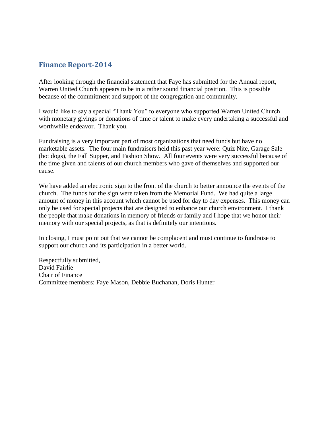## <span id="page-7-0"></span>**Finance Report-2014**

After looking through the financial statement that Faye has submitted for the Annual report, Warren United Church appears to be in a rather sound financial position. This is possible because of the commitment and support of the congregation and community.

I would like to say a special "Thank You" to everyone who supported Warren United Church with monetary givings or donations of time or talent to make every undertaking a successful and worthwhile endeavor. Thank you.

Fundraising is a very important part of most organizations that need funds but have no marketable assets. The four main fundraisers held this past year were: Quiz Nite, Garage Sale (hot dogs), the Fall Supper, and Fashion Show. All four events were very successful because of the time given and talents of our church members who gave of themselves and supported our cause.

We have added an electronic sign to the front of the church to better announce the events of the church. The funds for the sign were taken from the Memorial Fund. We had quite a large amount of money in this account which cannot be used for day to day expenses. This money can only be used for special projects that are designed to enhance our church environment. I thank the people that make donations in memory of friends or family and I hope that we honor their memory with our special projects, as that is definitely our intentions.

In closing, I must point out that we cannot be complacent and must continue to fundraise to support our church and its participation in a better world.

Respectfully submitted, David Fairlie Chair of Finance Committee members: Faye Mason, Debbie Buchanan, Doris Hunter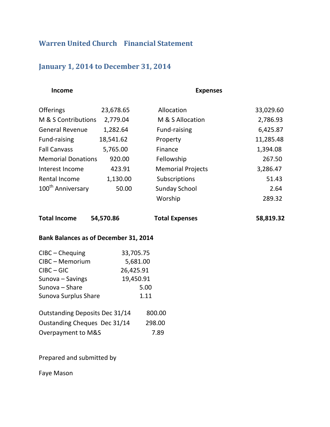## <span id="page-8-1"></span><span id="page-8-0"></span>**Warren United Church Financial Statement**

## **January 1, 2014 to December 31, 2014**

 **Income Expenses**

| <b>Offerings</b>              | 23,678.65 | Allocation               | 33,029.60 |
|-------------------------------|-----------|--------------------------|-----------|
| M & S Contributions           | 2,779.04  | M & S Allocation         | 2,786.93  |
| <b>General Revenue</b>        | 1,282.64  | Fund-raising             | 6,425.87  |
| Fund-raising                  | 18,541.62 | Property                 | 11,285.48 |
| <b>Fall Canvass</b>           | 5,765.00  | Finance                  | 1,394.08  |
| <b>Memorial Donations</b>     | 920.00    | Fellowship               | 267.50    |
| Interest Income               | 423.91    | <b>Memorial Projects</b> | 3,286.47  |
| Rental Income                 | 1,130.00  | Subscriptions            | 51.43     |
| 100 <sup>th</sup> Anniversary | 50.00     | <b>Sunday School</b>     | 2.64      |
|                               |           | Worship                  | 289.32    |

**Total Income 54,570.86 Total Expenses 58,819.32**

#### **Bank Balances as of December 31, 2014**

| $C\text{IBC}$ - Chequing       | 33,705.75 |  |
|--------------------------------|-----------|--|
| CIBC - Memorium                | 5,681.00  |  |
| $C\text{IBC} - \text{GIC}$     | 26,425.91 |  |
| Sunova - Savings               | 19,450.91 |  |
| Sunova - Share                 | 5.00      |  |
| Sunova Surplus Share           | 1.11      |  |
| Outstanding Deposits Dec 31/14 | 800.00    |  |
| Oustanding Cheques Dec 31/14   | 298.00    |  |
| Overpayment to M&S             | 7.89      |  |

Prepared and submitted by

Faye Mason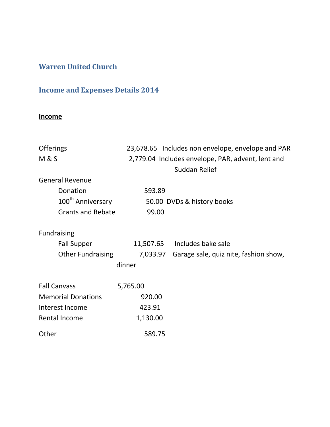## <span id="page-9-1"></span><span id="page-9-0"></span>**Warren United Church**

## **Income and Expenses Details 2014**

## **Income**

| <b>Offerings</b>              |                                                   | 23,678.65 Includes non envelope, envelope and PAR |  |
|-------------------------------|---------------------------------------------------|---------------------------------------------------|--|
| <b>M&amp;S</b>                | 2,779.04 Includes envelope, PAR, advent, lent and |                                                   |  |
|                               |                                                   | Suddan Relief                                     |  |
| <b>General Revenue</b>        |                                                   |                                                   |  |
| Donation                      | 593.89                                            |                                                   |  |
| 100 <sup>th</sup> Anniversary |                                                   | 50.00 DVDs & history books                        |  |
| <b>Grants and Rebate</b>      | 99.00                                             |                                                   |  |
| <b>Fundraising</b>            |                                                   |                                                   |  |
| <b>Fall Supper</b>            |                                                   | 11,507.65 Includes bake sale                      |  |
| <b>Other Fundraising</b>      | 7,033.97                                          | Garage sale, quiz nite, fashion show,             |  |
|                               | dinner                                            |                                                   |  |
| <b>Fall Canvass</b>           | 5,765.00                                          |                                                   |  |
| <b>Memorial Donations</b>     | 920.00                                            |                                                   |  |
| Interest Income               | 423.91                                            |                                                   |  |
| Rental Income                 | 1,130.00                                          |                                                   |  |
| Other                         | 589.75                                            |                                                   |  |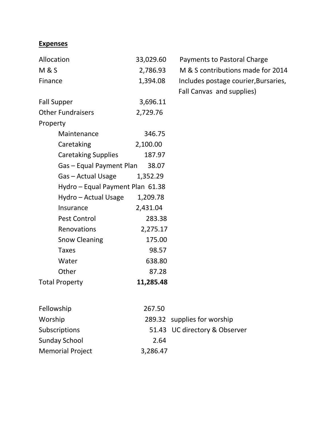## **Expenses**

| Allocation                       | 33,029.60 | Payments to Pastoral Charge          |
|----------------------------------|-----------|--------------------------------------|
| <b>M&amp;S</b>                   | 2,786.93  | M & S contributions made for 2014    |
| Finance                          | 1,394.08  | Includes postage courier, Bursaries, |
|                                  |           | Fall Canvas and supplies)            |
| <b>Fall Supper</b>               | 3,696.11  |                                      |
| <b>Other Fundraisers</b>         | 2,729.76  |                                      |
| Property                         |           |                                      |
| Maintenance                      | 346.75    |                                      |
| Caretaking                       | 2,100.00  |                                      |
| <b>Caretaking Supplies</b>       | 187.97    |                                      |
| Gas - Equal Payment Plan         | 38.07     |                                      |
| Gas - Actual Usage               | 1,352.29  |                                      |
| Hydro - Equal Payment Plan 61.38 |           |                                      |
| Hydro - Actual Usage             | 1,209.78  |                                      |
| Insurance                        | 2,431.04  |                                      |
| Pest Control                     | 283.38    |                                      |
| Renovations                      | 2,275.17  |                                      |
| <b>Snow Cleaning</b>             | 175.00    |                                      |
| <b>Taxes</b>                     | 98.57     |                                      |
| Water                            | 638.80    |                                      |
| Other                            | 87.28     |                                      |
| <b>Total Property</b>            | 11,285.48 |                                      |
|                                  |           |                                      |

| Fellowship              | 267.50   |                               |
|-------------------------|----------|-------------------------------|
| Worship                 |          | 289.32 supplies for worship   |
| <b>Subscriptions</b>    |          | 51.43 UC directory & Observer |
| <b>Sunday School</b>    | 2.64     |                               |
| <b>Memorial Project</b> | 3,286.47 |                               |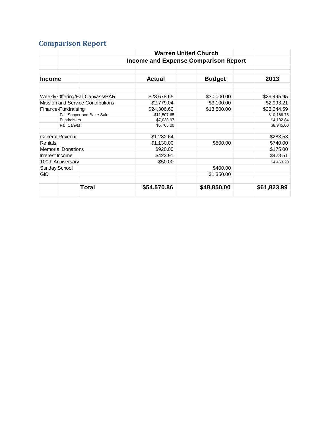# <span id="page-11-0"></span>**Comparison Report**

|                   |       | <b>Warren United Church</b>                                                                                                                                                                               |                           |                                                           |
|-------------------|-------|-----------------------------------------------------------------------------------------------------------------------------------------------------------------------------------------------------------|---------------------------|-----------------------------------------------------------|
|                   |       |                                                                                                                                                                                                           |                           |                                                           |
|                   |       |                                                                                                                                                                                                           |                           |                                                           |
|                   |       | <b>Actual</b>                                                                                                                                                                                             | <b>Budget</b>             | 2013                                                      |
|                   |       | \$23,678.65                                                                                                                                                                                               | \$30,000.00               | \$29,495.95                                               |
|                   |       | \$2,779.04                                                                                                                                                                                                |                           | \$2,993.21                                                |
|                   |       | \$24,306.62                                                                                                                                                                                               | \$13,500.00               | \$23,244.59                                               |
|                   |       |                                                                                                                                                                                                           |                           | \$10,166.75                                               |
|                   |       | \$7,033.97                                                                                                                                                                                                |                           | \$4,132.84                                                |
|                   |       |                                                                                                                                                                                                           |                           | \$8,945.00                                                |
| General Revenue   |       | \$1,282.64                                                                                                                                                                                                |                           | \$283.53                                                  |
|                   |       | \$1,130.00                                                                                                                                                                                                | \$500.00                  | \$740.00                                                  |
|                   |       | \$920.00                                                                                                                                                                                                  |                           | \$175.00                                                  |
| Interest Income   |       | \$423.91                                                                                                                                                                                                  |                           | \$428.51                                                  |
| 100th Anniversary |       | \$50.00                                                                                                                                                                                                   |                           | \$4,463.20                                                |
| Sunday School     |       |                                                                                                                                                                                                           | \$400.00                  |                                                           |
|                   |       |                                                                                                                                                                                                           | \$1,350.00                |                                                           |
|                   | Total | \$54,570.86                                                                                                                                                                                               | \$48,850.00               | \$61,823.99                                               |
|                   |       | Weekly Offering/Fall Canvass/PAR<br><b>Mission and Service Contributions</b><br>Finance-Fundraising<br>Fall Supper and Bake Sale<br><b>Fundraisers</b><br><b>Fall Canvas</b><br><b>Memorial Donations</b> | \$11,507.65<br>\$5,765.00 | <b>Income and Expense Comparison Report</b><br>\$3,100.00 |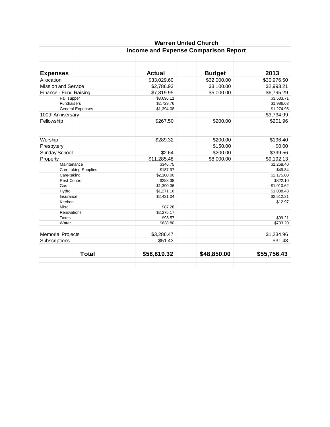|                            |                             | <b>Warren United Church</b>                 |               |             |
|----------------------------|-----------------------------|---------------------------------------------|---------------|-------------|
|                            |                             | <b>Income and Expense Comparison Report</b> |               |             |
|                            |                             |                                             |               |             |
|                            |                             |                                             |               |             |
| <b>Expenses</b>            |                             | <b>Actual</b>                               | <b>Budget</b> | 2013        |
| Allocation                 |                             | \$33,029.60                                 | \$32,000.00   | \$30,976.50 |
| <b>Mission and Service</b> |                             | \$2,786.93                                  | \$3,100.00    | \$2,993.21  |
| Finance - Fund Raising     |                             | \$7,819.95                                  | \$5,000.00    | \$6,795.29  |
| Fall supper                |                             | \$3,696.11                                  |               | \$3,533.71  |
| Fundraisers                |                             | \$2,729.76                                  |               | \$1,986.63  |
| <b>General Expenses</b>    |                             | \$1,394.08                                  |               | \$1,274.95  |
| 100th Anniversary          |                             |                                             |               | \$3,734.99  |
| Fellowship                 |                             | \$267.50                                    | \$200.00      | \$201.96    |
|                            |                             |                                             |               |             |
| Worship                    |                             | \$289.32                                    | \$200.00      | \$196.40    |
| Presbytery                 |                             |                                             | \$150.00      | \$0.00      |
| Sunday School              |                             | \$2.64                                      | \$200.00      | \$399.56    |
| Property                   |                             | \$11,285.48                                 | \$8,000.00    | \$9,192.13  |
| Maintenance                |                             | \$346.75                                    |               | \$1,268.40  |
|                            | <b>Care-taking Supplies</b> | \$187.97                                    |               | \$49.84     |
| Care-taking                |                             | \$2,100.00                                  |               | \$2,175.00  |
| Pest Control               |                             | \$283.38                                    |               | \$322.10    |
| Gas                        |                             | \$1,390.36                                  |               | \$1,010.62  |
| Hydro                      |                             | \$1,271.16                                  |               | \$1,038.48  |
| Insurance                  |                             | \$2,431.04                                  |               | \$2,512.31  |
| Kitchen                    |                             |                                             |               | \$12.97     |
| Misc                       |                             | \$87.28                                     |               |             |
| Renovations                |                             | \$2,275.17                                  |               |             |
| <b>Taxes</b>               |                             | \$98.57                                     |               | \$99.21     |
| Water                      |                             | \$638.80                                    |               | \$703.20    |
| <b>Memorial Projects</b>   |                             | \$3,286.47                                  |               | \$1,234.96  |
| Subscriptions              |                             | \$51.43                                     |               | \$31.43     |
|                            | <b>Total</b>                | \$58,819.32                                 | \$48,850.00   | \$55,756.43 |
|                            |                             |                                             |               |             |
|                            |                             |                                             |               |             |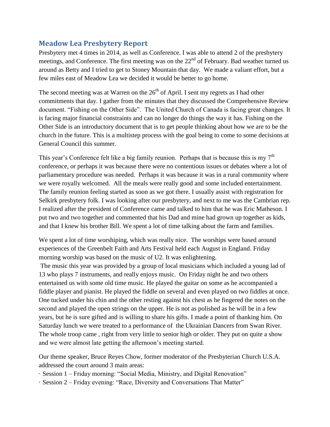## <span id="page-13-0"></span>**Meadow Lea Presbytery Report**

Presbytery met 4 times in 2014, as well as Conference. I was able to attend 2 of the presbytery meetings, and Conference. The first meeting was on the  $22<sup>nd</sup>$  of February. Bad weather turned us around as Betty and I tried to get to Stoney Mountain that day. We made a valiant effort, but a few miles east of Meadow Lea we decided it would be better to go home.

The second meeting was at Warren on the  $26<sup>th</sup>$  of April. I sent my regrets as I had other commitments that day. I gather from the minutes that they discussed the Comprehensive Review document. "Fishing on the Other Side". The United Church of Canada is facing great changes. It is facing major financial constraints and can no longer do things the way it has. Fishing on the Other Side is an introductory document that is to get people thinking about how we are to be the church in the future. This is a multistep process with the goal being to come to some decisions at General Council this summer.

This year's Conference felt like a big family reunion. Perhaps that is because this is my  $7<sup>th</sup>$ conference, or perhaps it was because there were no contentious issues or debates where a lot of parliamentary procedure was needed. Perhaps it was because it was in a rural community where we were royally welcomed. All the meals were really good and some included entertainment. The family reunion feeling started as soon as we got there. I usually assist with registration for Selkirk presbytery folk. I was looking after our presbytery, and next to me was the Cambrian rep. I realized after the president of Conference came and talked to him that he was Eric Matheson. I put two and two together and commented that his Dad and mine had grown up together as kids, and that I knew his brother Bill. We spent a lot of time talking about the farm and families.

We spent a lot of time worshiping, which was really nice. The worships were based around experiences of the Greenbelt Faith and Arts Festival held each August in England. Friday morning worship was based on the music of U2. It was enlightening.

The music this year was provided by a group of local musicians which included a young lad of 13 who plays 7 instruments, and really enjoys music. On Friday night he and two others entertained us with some old time music. He played the guitar on some as he accompanied a fiddle player and pianist. He played the fiddle on several and even played on two fiddles at once. One tucked under his chin and the other resting against his chest as he fingered the notes on the second and played the open strings on the upper. He is not as polished as he will be in a few years, but he is sure gifted and is willing to share his gifts. I made a point of thanking him. On Saturday lunch we were treated to a performance of the Ukrainian Dancers from Swan River. The whole troop came , right from very little to senior high or older. They put on quite a show and we were almost late getting the afternoon's meeting started.

Our theme speaker, Bruce Reyes Chow, former moderator of the Presbyterian Church U.S.A. addressed the court around 3 main areas:

· Session 1 – Friday morning: "Social Media, Ministry, and Digital Renovation"

· Session 2 – Friday evening: "Race, Diversity and Conversations That Matter"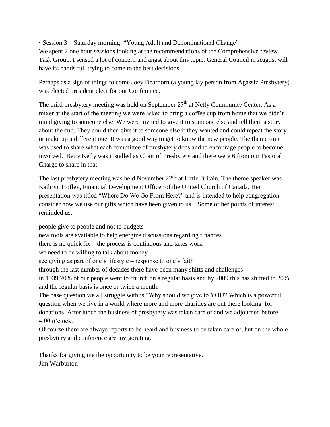· Session 3 – Saturday morning: "Young Adult and Denominational Change" We spent 2 one hour sessions looking at the recommendations of the Comprehensive review Task Group. I sensed a lot of concern and angst about this topic. General Council in August will have its hands full trying to come to the best decisions.

Perhaps as a sign of things to come Joey Dearborn (a young lay person from Agassiz Presbytery) was elected president elect for our Conference.

The third presbytery meeting was held on September  $27<sup>th</sup>$  at Netly Community Center. As a mixer at the start of the meeting we were asked to bring a coffee cup from home that we didn't mind giving to someone else. We were invited to give it to someone else and tell them a story about the cup. They could then give it to someone else if they wanted and could repeat the story or make up a different one. It was a good way to get to know the new people. The theme time was used to share what each committee of presbytery does and to encourage people to become involved. Betty Kelly was installed as Chair of Presbytery and there were 6 from our Pastoral Charge to share in that.

The last presbytery meeting was held November  $22<sup>nd</sup>$  at Little Britain. The theme speaker was Kathryn Hofley, Financial Development Officer of the United Church of Canada. Her presentation was titled "Where Do We Go From Here?" and is intended to help congregation consider how we use our gifts which have been given to us. . Some of her points of interest reminded us:

people give to people and not to budgets new tools are available to help energize discussions regarding finances there is no quick fix – the process is continuous and takes work we need to be willing to talk about money see giving as part of one's lifestyle – response to one's faith through the last number of decades there have been many shifts and challenges in 1939 70% of our people went to church on a regular basis and by 2009 this has shifted to 20% and the regular basis is once or twice a month. The base question we all struggle with is "Why should we give to YOU? Which is a powerful question when we live in a world where more and more charities are out there looking for donations. After lunch the business of presbytery was taken care of and we adjourned before 4:00 o'clock.

Of course there are always reports to be heard and business to be taken care of, but on the whole presbytery and conference are invigorating.

Thanks for giving me the opportunity to be your representative. Jim Warburton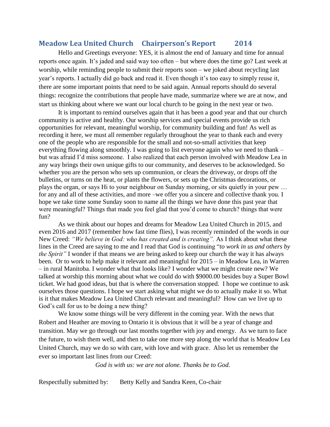### <span id="page-15-0"></span>**Meadow Lea United Church Chairperson's Report 2014**

Hello and Greetings everyone: YES, it is almost the end of January and time for annual reports once again. It's jaded and said way too often – but where does the time go? Last week at worship, while reminding people to submit their reports soon – we joked about recycling last year's reports. I actually did go back and read it. Even though it's too easy to simply reuse it, there are some important points that need to be said again. Annual reports should do several things: recognize the contributions that people have made, summarize where we are at now, and start us thinking about where we want our local church to be going in the next year or two.

It is important to remind ourselves again that it has been a good year and that our church community is active and healthy. Our worship services and special events provide us rich opportunities for relevant, meaningful worship, for community building and fun! As well as recording it here, we must all remember regularly throughout the year to thank each and every one of the people who are responsible for the small and not-so-small activities that keep everything flowing along smoothly. I was going to list everyone again who we need to thank – but was afraid I'd miss someone. I also realized that each person involved with Meadow Lea in any way brings their own unique gifts to our community, and deserves to be acknowledged. So whether you are the person who sets up communion, or clears the driveway, or drops off the bulletins, or turns on the heat, or plants the flowers, or sets up the Christmas decorations, or plays the organ, or says Hi to your neighbour on Sunday morning, or sits quietly in your pew … for any and all of these activities, and more –we offer you a sincere and collective thank you. I hope we take time some Sunday soon to name all the things we have done this past year that were meaningful? Things that made you feel glad that you'd come to church? things that were fun?

As we think about our hopes and dreams for Meadow Lea United Church in 2015, and even 2016 and 2017 (remember how fast time flies), I was recently reminded of the words in our New Creed: *"We believe in God: who has created and is creating".* As I think about what these lines in the Creed are saying to me and I read that God is continuing "*to work in us and others by the Spirit"* I wonder if that means we are being asked to keep our church the way it has always been. Or to work to help make it relevant and meaningful for 2015 – in Meadow Lea, in Warren – in rural Manitoba. I wonder what that looks like? I wonder what we might create new? We talked at worship this morning about what we could do with \$9000.00 besides buy a Super Bowl ticket. We had good ideas, but that is where the conversation stopped. I hope we continue to ask ourselves those questions. I hope we start asking what might we do to actually make it so. What is it that makes Meadow Lea United Church relevant and meaningful? How can we live up to God's call for us to be doing a new thing?

We know some things will be very different in the coming year. With the news that Robert and Heather are moving to Ontario it is obvious that it will be a year of change and transition. May we go through our last months together with joy and energy. As we turn to face the future, to wish them well, and then to take one more step along the world that is Meadow Lea United Church, may we do so with care, with love and with grace. Also let us remember the ever so important last lines from our Creed:

 *God is with us: we are not alone. Thanks be to God.*

Respectfully submitted by: Betty Kelly and Sandra Keen, Co-chair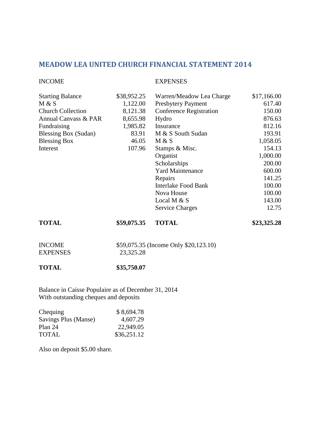## <span id="page-16-0"></span>**MEADOW LEA UNITED CHURCH FINANCIAL STATEMENT 2014**

#### INCOME EXPENSES

| <b>Starting Balance</b>  | \$38,952.25 | Warren/Meadow Lea Charge       | \$17,166.00 |
|--------------------------|-------------|--------------------------------|-------------|
| M & S                    | 1,122.00    | Presbytery Payment             | 617.40      |
| <b>Church Collection</b> | 8,121.38    | <b>Conference Registration</b> | 150.00      |
| Annual Canvass & PAR     | 8,655.98    | Hydro                          | 876.63      |
| Fundraising              | 1,985.82    | Insurance                      | 812.16      |
| Blessing Box (Sudan)     | 83.91       | M & S South Sudan              | 193.91      |
| <b>Blessing Box</b>      | 46.05       | M & S                          | 1,058.05    |
| Interest                 | 107.96      | Stamps & Misc.                 | 154.13      |
|                          |             | Organist                       | 1,000.00    |
|                          |             | Scholarships                   | 200.00      |
|                          |             | <b>Yard Maintenance</b>        | 600.00      |
|                          |             | Repairs                        | 141.25      |
|                          |             | Interlake Food Bank            | 100.00      |
|                          |             | Nova House                     | 100.00      |
|                          |             | Local M $& S$                  | 143.00      |
|                          |             | <b>Service Charges</b>         | 12.75       |
| <b>TOTAL</b>             | \$59,075.35 | <b>TOTAL</b>                   | \$23,325.28 |

| <b>INCOME</b>   | \$59,075.35 (Income Only \$20,123.10) |
|-----------------|---------------------------------------|
| <b>EXPENSES</b> | 23,325.28                             |

#### **TOTAL \$35,750.07**

Balance in Caisse Populaire as of December 31, 2014 With outstanding cheques and deposits

| Chequing             | \$8,694.78  |
|----------------------|-------------|
| Savings Plus (Manse) | 4,607.29    |
| Plan 24              | 22,949.05   |
| <b>TOTAL</b>         | \$36,251.12 |

Also on deposit \$5.00 share.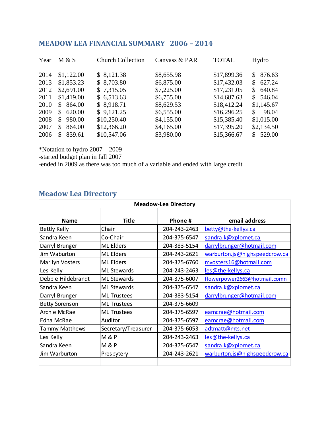## <span id="page-17-0"></span>**MEADOW LEA FINANCIAL SUMMARY 2006 – 2014**

| M & S                  | <b>Church Collection</b> | Canvass & PAR | <b>TOTAL</b> | Hydro                    |
|------------------------|--------------------------|---------------|--------------|--------------------------|
| \$1,122.00             | \$8,121.38               | \$8,655.98    | \$17,899.36  | 876.63<br>$\mathbb{S}^-$ |
| \$1,853.23             | \$8,703.80               | \$6,875.00    | \$17,432.03  | \$627.24                 |
| \$2,691.00             | \$7,315.05               | \$7,225.00    | \$17,231.05  | \$640.84                 |
| \$1,419.00             | \$6,513.63               | \$6,755.00    | \$14,687.63  | \$546.04                 |
| 864.00<br><sup>S</sup> | \$8,918.71               | \$8,629.53    | \$18,412.24  | \$1,145.67               |
| 620.00<br>S.           | \$9,121.25               | \$6,555.00    | \$16,296.25  | 98.04<br>S.              |
| 980.00<br>S.           | \$10,250.40              | \$4,155.00    | \$15,385.40  | \$1,015.00               |
| 864.00<br>\$.          | \$12,366.20              | \$4,165.00    | \$17,395.20  | \$2,134.50               |
| 839.61<br>\$.          | \$10,547.06              | \$3,980.00    | \$15,366.67  | \$529.00                 |
|                        |                          |               |              |                          |

\*Notation to hydro 2007 – 2009

-started budget plan in fall 2007

-ended in 2009 as there was too much of a variable and ended with large credit

## <span id="page-17-1"></span>**Meadow Lea Directory**

| <b>Meadow-Lea Directory</b> |                     |              |                               |
|-----------------------------|---------------------|--------------|-------------------------------|
|                             |                     |              |                               |
| <b>Name</b>                 | <b>Title</b>        | Phone#       | email address                 |
| <b>Bettly Kelly</b>         | Chair               | 204-243-2463 | betty@the-kellys.ca           |
| Sandra Keen                 | Co-Chair            | 204-375-6547 | sandra.k@xplornet.ca          |
| Darryl Brunger              | <b>ML</b> Elders    | 204-383-5154 | darrylbrunger@hotmail.com     |
| Jim Waburton                | <b>ML Elders</b>    | 204-243-2621 | warburton.js@highspeedcrow.ca |
| <b>Marilyn Vosters</b>      | <b>ML Elders</b>    | 204-375-6760 | mvosters16@hotmail.com        |
| Les Kelly                   | <b>ML Stewards</b>  | 204-243-2463 | les@the-kellys.ca             |
| Debbie Hildebrandt          | <b>ML Stewards</b>  | 204-375-6007 | flowerpower2663@hotmail.comn  |
| Sandra Keen                 | <b>ML Stewards</b>  | 204-375-6547 | sandra.k@xplornet.ca          |
| Darryl Brunger              | <b>ML Trustees</b>  | 204-383-5154 | darrylbrunger@hotmail.com     |
| <b>Betty Sorenson</b>       | <b>ML Trustees</b>  | 204-375-6609 |                               |
| Archie McRae                | <b>ML Trustees</b>  | 204-375-6597 | eamcrae@hotmail.com           |
| Edna McRae                  | Auditor             | 204-375-6597 | eamcrae@hotmail.com           |
| <b>Tammy Matthews</b>       | Secretary/Treasurer | 204-375-6053 | adtmatt@mts.net               |
| Les Kelly                   | <b>M&amp;P</b>      | 204-243-2463 | les@the-kellys.ca             |
| Sandra Keen                 | <b>M&amp;P</b>      | 204-375-6547 | sandra.k@xplornet.ca          |
| Jim Warburton               | Presbytery          | 204-243-2621 | warburton.js@highspeedcrow.ca |
|                             |                     |              |                               |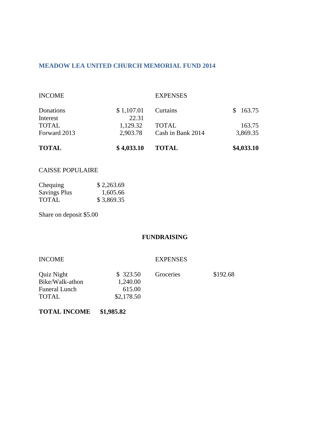#### <span id="page-18-0"></span>**MEADOW LEA UNITED CHURCH MEMORIAL FUND 2014**

| <b>TOTAL</b>  | \$4,033.10 | <b>TOTAL</b>      | \$4,033.10 |
|---------------|------------|-------------------|------------|
| Forward 2013  | 2,903.78   | Cash in Bank 2014 | 3,869.35   |
| <b>TOTAL</b>  | 1,129.32   | <b>TOTAL</b>      | 163.75     |
| Interest      | 22.31      |                   |            |
| Donations     | \$1,107.01 | Curtains          | \$163.75   |
| <b>INCOME</b> |            | <b>EXPENSES</b>   |            |

#### CAISSE POPULAIRE

| Chequing            | \$2,263.69 |
|---------------------|------------|
| <b>Savings Plus</b> | 1,605.66   |
| TOTAL               | \$3,869.35 |

Share on deposit \$5.00

#### **FUNDRAISING**

| <b>INCOME</b> |
|---------------|
|---------------|

#### **EXPENSES**

| Quiz Night           | \$323.50   | Groceries | \$192.68 |
|----------------------|------------|-----------|----------|
| Bike/Walk-athon      | 1,240.00   |           |          |
| <b>Funeral Lunch</b> | 615.00     |           |          |
| <b>TOTAL</b>         | \$2,178.50 |           |          |

#### **TOTAL INCOME \$1,985.82**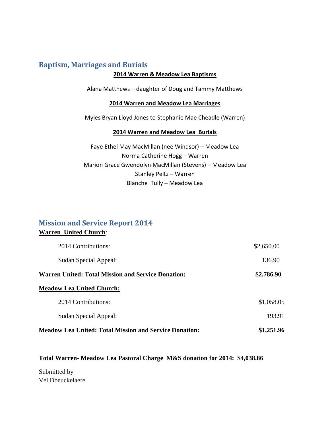## <span id="page-19-0"></span>**Baptism, Marriages and Burials**

#### **2014 Warren & Meadow Lea Baptisms**

Alana Matthews – daughter of Doug and Tammy Matthews

#### **2014 Warren and Meadow Lea Marriages**

Myles Bryan Lloyd Jones to Stephanie Mae Cheadle (Warren)

#### **2014 Warren and Meadow Lea Burials**

Faye Ethel May MacMillan (nee Windsor) – Meadow Lea Norma Catherine Hogg – Warren Marion Grace Gwendolyn MacMillan (Stevens) – Meadow Lea Stanley Peltz – Warren Blanche Tully – Meadow Lea

## <span id="page-19-1"></span>**Mission and Service Report 2014 Warren United Church**:

| 2014 Contributions:                                           | \$2,650.00 |
|---------------------------------------------------------------|------------|
| Sudan Special Appeal:                                         | 136.90     |
| Warren United: Total Mission and Service Donation:            | \$2,786.90 |
| <b>Meadow Lea United Church:</b>                              |            |
| 2014 Contributions:                                           | \$1,058.05 |
| Sudan Special Appeal:                                         | 193.91     |
| <b>Meadow Lea United: Total Mission and Service Donation:</b> | \$1,251.96 |

#### **Total Warren- Meadow Lea Pastoral Charge M&S donation for 2014: \$4,038.86**

Submitted by Vel Dbeuckelaere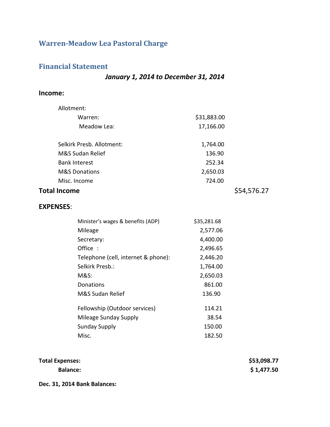## <span id="page-20-1"></span><span id="page-20-0"></span>**Warren-Meadow Lea Pastoral Charge**

## **Financial Statement**

### *January 1, 2014 to December 31, 2014*

#### **Income:**

| Allotment:          |                                     |             |             |
|---------------------|-------------------------------------|-------------|-------------|
|                     | Warren:                             | \$31,883.00 |             |
|                     | Meadow Lea:                         | 17,166.00   |             |
|                     | Selkirk Presb. Allotment:           | 1,764.00    |             |
|                     | M&S Sudan Relief                    | 136.90      |             |
|                     | <b>Bank Interest</b>                | 252.34      |             |
|                     | <b>M&amp;S Donations</b>            | 2,650.03    |             |
|                     | Misc. Income                        | 724.00      |             |
| <b>Total Income</b> |                                     |             | \$54,576.27 |
| <b>EXPENSES:</b>    |                                     |             |             |
|                     | Minister's wages & benefits (ADP)   | \$35,281.68 |             |
|                     | Mileage                             | 2,577.06    |             |
|                     | Secretary:                          | 4,400.00    |             |
|                     | Office:                             | 2,496.65    |             |
|                     | Telephone (cell, internet & phone): | 2,446.20    |             |
|                     | Selkirk Presb.:                     | 1,764.00    |             |
|                     | <b>M&amp;S:</b>                     | 2,650.03    |             |
|                     | Donations                           | 861.00      |             |
|                     | M&S Sudan Relief                    | 136.90      |             |

| Fellowship (Outdoor services) | 114.21 |
|-------------------------------|--------|
| Mileage Sunday Supply         | 38.54  |
| Sunday Supply                 | 150.00 |
| Misc.                         | 182.50 |

| <b>Total Expenses:</b> | \$53,098.77 |
|------------------------|-------------|
| <b>Balance:</b>        | \$1,477.50  |

**Dec. 31, 2014 Bank Balances:**